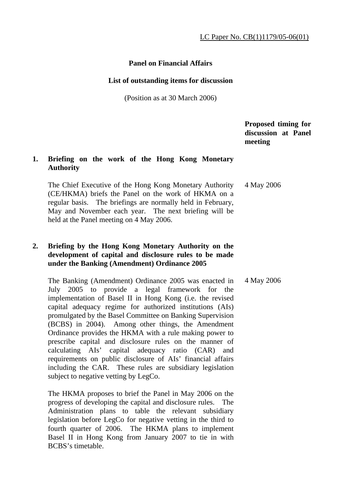## **Panel on Financial Affairs**

#### **List of outstanding items for discussion**

(Position as at 30 March 2006)

 **Proposed timing for discussion at Panel meeting** 

## **1. Briefing on the work of the Hong Kong Monetary Authority**

 The Chief Executive of the Hong Kong Monetary Authority (CE/HKMA) briefs the Panel on the work of HKMA on a regular basis. The briefings are normally held in February, May and November each year. The next briefing will be held at the Panel meeting on 4 May 2006. 4 May 2006

### **2. Briefing by the Hong Kong Monetary Authority on the development of capital and disclosure rules to be made under the Banking (Amendment) Ordinance 2005**

 The Banking (Amendment) Ordinance 2005 was enacted in July 2005 to provide a legal framework for the implementation of Basel II in Hong Kong (i.e. the revised capital adequacy regime for authorized institutions (AIs) promulgated by the Basel Committee on Banking Supervision (BCBS) in 2004). Among other things, the Amendment Ordinance provides the HKMA with a rule making power to prescribe capital and disclosure rules on the manner of calculating AIs' capital adequacy ratio (CAR) and requirements on public disclosure of AIs' financial affairs including the CAR. These rules are subsidiary legislation subject to negative vetting by LegCo. 4 May 2006

 The HKMA proposes to brief the Panel in May 2006 on the progress of developing the capital and disclosure rules. The Administration plans to table the relevant subsidiary legislation before LegCo for negative vetting in the third to fourth quarter of 2006. The HKMA plans to implement Basel II in Hong Kong from January 2007 to tie in with BCBS's timetable.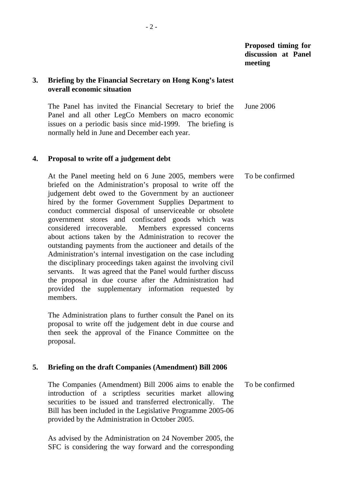**Proposed timing for discussion at Panel meeting** 

## **3. Briefing by the Financial Secretary on Hong Kong's latest overall economic situation**

 The Panel has invited the Financial Secretary to brief the Panel and all other LegCo Members on macro economic issues on a periodic basis since mid-1999. The briefing is normally held in June and December each year. June 2006

#### **4. Proposal to write off a judgement debt**

 At the Panel meeting held on 6 June 2005, members were briefed on the Administration's proposal to write off the judgement debt owed to the Government by an auctioneer hired by the former Government Supplies Department to conduct commercial disposal of unserviceable or obsolete government stores and confiscated goods which was considered irrecoverable. Members expressed concerns about actions taken by the Administration to recover the outstanding payments from the auctioneer and details of the Administration's internal investigation on the case including the disciplinary proceedings taken against the involving civil servants. It was agreed that the Panel would further discuss the proposal in due course after the Administration had provided the supplementary information requested by members. To be confirmed

 The Administration plans to further consult the Panel on its proposal to write off the judgement debt in due course and then seek the approval of the Finance Committee on the proposal.

# **5. Briefing on the draft Companies (Amendment) Bill 2006**

 The Companies (Amendment) Bill 2006 aims to enable the introduction of a scriptless securities market allowing securities to be issued and transferred electronically. The Bill has been included in the Legislative Programme 2005-06 provided by the Administration in October 2005. To be confirmed

 As advised by the Administration on 24 November 2005, the SFC is considering the way forward and the corresponding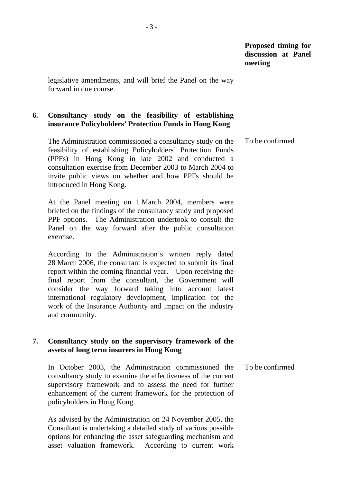legislative amendments, and will brief the Panel on the way forward in due course.

## **6. Consultancy study on the feasibility of establishing insurance Policyholders' Protection Funds in Hong Kong**

 The Administration commissioned a consultancy study on the feasibility of establishing Policyholders' Protection Funds (PPFs) in Hong Kong in late 2002 and conducted a consultation exercise from December 2003 to March 2004 to invite public views on whether and how PPFs should be introduced in Hong Kong. To be confirmed

 At the Panel meeting on 1 March 2004, members were briefed on the findings of the consultancy study and proposed PPF options. The Administration undertook to consult the Panel on the way forward after the public consultation exercise.

 According to the Administration's written reply dated 28 March 2006, the consultant is expected to submit its final report within the coming financial year. Upon receiving the final report from the consultant, the Government will consider the way forward taking into account latest international regulatory development, implication for the work of the Insurance Authority and impact on the industry and community.

## **7. Consultancy study on the supervisory framework of the assets of long term insurers in Hong Kong**

 In October 2003, the Administration commissioned the consultancy study to examine the effectiveness of the current supervisory framework and to assess the need for further enhancement of the current framework for the protection of policyholders in Hong Kong. To be confirmed

 As advised by the Administration on 24 November 2005, the Consultant is undertaking a detailed study of various possible options for enhancing the asset safeguarding mechanism and asset valuation framework. According to current work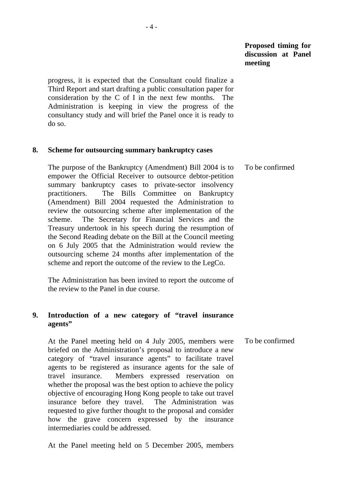## **Proposed timing for discussion at Panel meeting**

progress, it is expected that the Consultant could finalize a Third Report and start drafting a public consultation paper for consideration by the C of I in the next few months. The Administration is keeping in view the progress of the consultancy study and will brief the Panel once it is ready to do so.

#### **8. Scheme for outsourcing summary bankruptcy cases**

 The purpose of the Bankruptcy (Amendment) Bill 2004 is to empower the Official Receiver to outsource debtor-petition summary bankruptcy cases to private-sector insolvency practitioners. The Bills Committee on Bankruptcy (Amendment) Bill 2004 requested the Administration to review the outsourcing scheme after implementation of the scheme. The Secretary for Financial Services and the Treasury undertook in his speech during the resumption of the Second Reading debate on the Bill at the Council meeting on 6 July 2005 that the Administration would review the outsourcing scheme 24 months after implementation of the scheme and report the outcome of the review to the LegCo. To be confirmed

 The Administration has been invited to report the outcome of the review to the Panel in due course.

#### **9. Introduction of a new category of "travel insurance agents"**

 At the Panel meeting held on 4 July 2005, members were briefed on the Administration's proposal to introduce a new category of "travel insurance agents" to facilitate travel agents to be registered as insurance agents for the sale of travel insurance. Members expressed reservation on whether the proposal was the best option to achieve the policy objective of encouraging Hong Kong people to take out travel insurance before they travel. The Administration was requested to give further thought to the proposal and consider how the grave concern expressed by the insurance intermediaries could be addressed. To be confirmed

At the Panel meeting held on 5 December 2005, members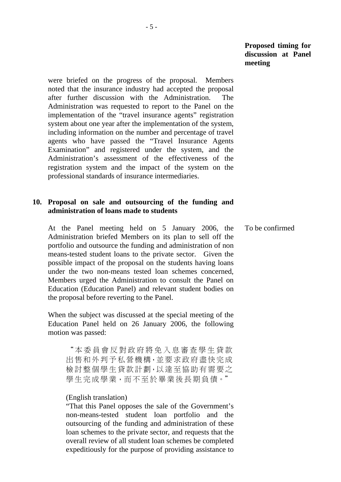**Proposed timing for discussion at Panel meeting** 

were briefed on the progress of the proposal. Members noted that the insurance industry had accepted the proposal after further discussion with the Administration. The Administration was requested to report to the Panel on the implementation of the "travel insurance agents" registration system about one year after the implementation of the system, including information on the number and percentage of travel agents who have passed the "Travel Insurance Agents Examination" and registered under the system, and the Administration's assessment of the effectiveness of the registration system and the impact of the system on the professional standards of insurance intermediaries.

#### **10. Proposal on sale and outsourcing of the funding and administration of loans made to students**

 At the Panel meeting held on 5 January 2006, the Administration briefed Members on its plan to sell off the portfolio and outsource the funding and administration of non means-tested student loans to the private sector. Given the possible impact of the proposal on the students having loans under the two non-means tested loan schemes concerned, Members urged the Administration to consult the Panel on Education (Education Panel) and relevant student bodies on the proposal before reverting to the Panel.

 When the subject was discussed at the special meeting of the Education Panel held on 26 January 2006, the following motion was passed:

"本委員會反對政府將免入息審查學生貸款 出售和外判予私營機構,並要求政府盡快完成 檢討整個學生貸款計劃,以達至協助有需要之 學生完成學業,而不至於畢業後長期負債。"

#### (English translation)

"That this Panel opposes the sale of the Government's non-means-tested student loan portfolio and the outsourcing of the funding and administration of these loan schemes to the private sector, and requests that the overall review of all student loan schemes be completed expeditiously for the purpose of providing assistance to To be confirmed